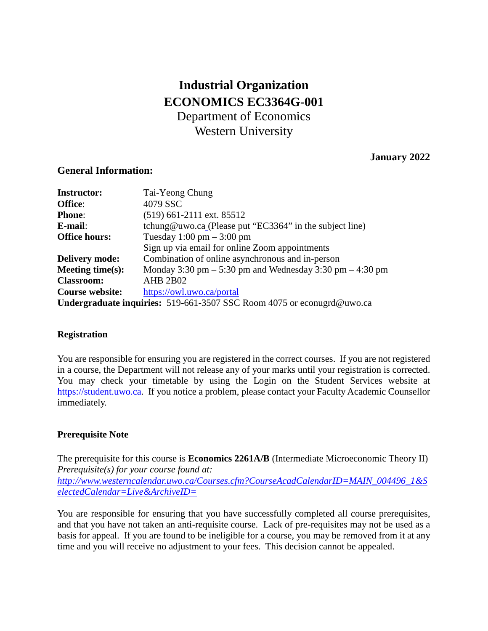# **Industrial Organization ECONOMICS EC3364G-001** Department of Economics Western University

# **January 2022**

# **General Information:**

| <b>Instructor:</b>     | Tai-Yeong Chung                                                        |  |
|------------------------|------------------------------------------------------------------------|--|
| Office:                | 4079 SSC                                                               |  |
| <b>Phone:</b>          | $(519)$ 661-2111 ext. 85512                                            |  |
| E-mail:                | tchung@uwo.ca (Please put "EC3364" in the subject line)                |  |
| <b>Office hours:</b>   | Tuesday $1:00 \text{ pm} - 3:00 \text{ pm}$                            |  |
|                        | Sign up via email for online Zoom appointments                         |  |
| <b>Delivery mode:</b>  | Combination of online asynchronous and in-person                       |  |
| Meeting time $(s)$ :   | Monday 3:30 pm $-$ 5:30 pm and Wednesday 3:30 pm $-$ 4:30 pm           |  |
| <b>Classroom:</b>      | <b>AHB 2B02</b>                                                        |  |
| <b>Course website:</b> | https://owl.uwo.ca/portal                                              |  |
|                        | Undergraduate inquiries: 519-661-3507 SSC Room 4075 or econugrd@uwo.ca |  |

# **Registration**

You are responsible for ensuring you are registered in the correct courses. If you are not registered in a course, the Department will not release any of your marks until your registration is corrected. You may check your timetable by using the Login on the Student Services website at [https://student.uwo.ca.](https://student.uwo.ca/) If you notice a problem, please contact your Faculty Academic Counsellor immediately.

# **Prerequisite Note**

The prerequisite for this course is **Economics 2261A/B** (Intermediate Microeconomic Theory II) *Prerequisite(s) for your course found at:* 

*http://www.westerncalendar.uwo.ca/Courses.cfm?CourseAcadCalendarID=MAIN\_004496\_1&S electedCalendar=Live&ArchiveID=*

You are responsible for ensuring that you have successfully completed all course prerequisites, and that you have not taken an anti-requisite course. Lack of pre-requisites may not be used as a basis for appeal. If you are found to be ineligible for a course, you may be removed from it at any time and you will receive no adjustment to your fees. This decision cannot be appealed.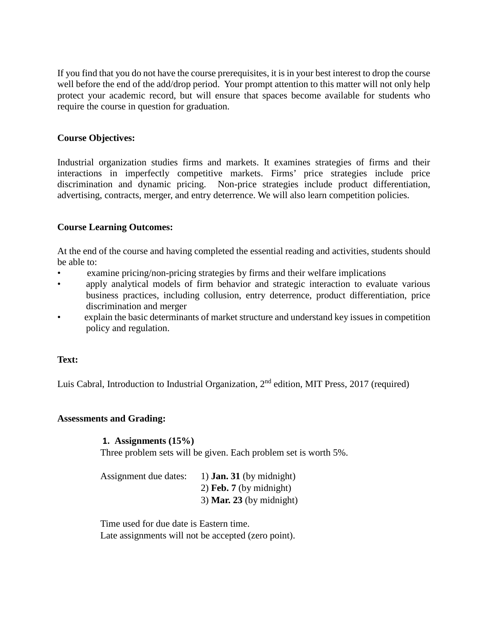If you find that you do not have the course prerequisites, it is in your best interest to drop the course well before the end of the add/drop period. Your prompt attention to this matter will not only help protect your academic record, but will ensure that spaces become available for students who require the course in question for graduation.

# **Course Objectives:**

Industrial organization studies firms and markets. It examines strategies of firms and their interactions in imperfectly competitive markets. Firms' price strategies include price discrimination and dynamic pricing. Non-price strategies include product differentiation, advertising, contracts, merger, and entry deterrence. We will also learn competition policies.

# **Course Learning Outcomes:**

At the end of the course and having completed the essential reading and activities, students should be able to:

- examine pricing/non-pricing strategies by firms and their welfare implications
- apply analytical models of firm behavior and strategic interaction to evaluate various business practices, including collusion, entry deterrence, product differentiation, price discrimination and merger
- explain the basic determinants of market structure and understand key issues in competition policy and regulation.

# **Text:**

Luis Cabral, Introduction to Industrial Organization, 2nd edition, MIT Press, 2017 (required)

# **Assessments and Grading:**

#### **1. Assignments (15%)**

Three problem sets will be given. Each problem set is worth 5%.

| Assignment due dates: | 1) <b>Jan. 31</b> (by midnight) |
|-----------------------|---------------------------------|
|                       | 2) Feb. $7$ (by midnight)       |
|                       | 3) Mar. 23 (by midnight)        |

Time used for due date is Eastern time. Late assignments will not be accepted (zero point).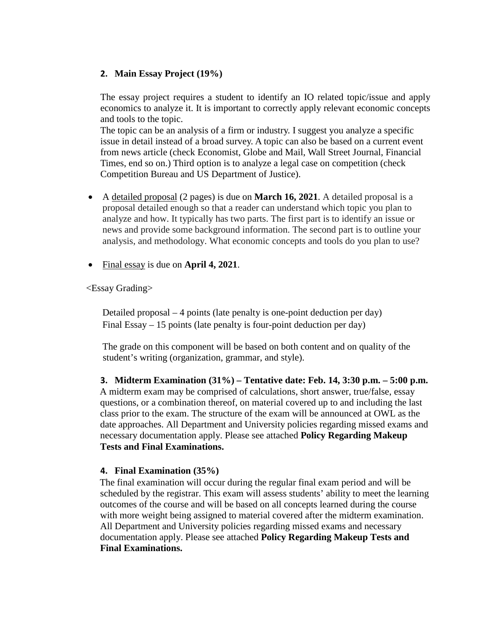# **2. Main Essay Project (19%)**

The essay project requires a student to identify an IO related topic/issue and apply economics to analyze it. It is important to correctly apply relevant economic concepts and tools to the topic.

The topic can be an analysis of a firm or industry. I suggest you analyze a specific issue in detail instead of a broad survey. A topic can also be based on a current event from news article (check Economist, Globe and Mail, Wall Street Journal, Financial Times, end so on.) Third option is to analyze a legal case on competition (check Competition Bureau and US Department of Justice).

- A detailed proposal (2 pages) is due on **March 16, 2021**. A detailed proposal is a proposal detailed enough so that a reader can understand which topic you plan to analyze and how. It typically has two parts. The first part is to identify an issue or news and provide some background information. The second part is to outline your analysis, and methodology. What economic concepts and tools do you plan to use?
- Final essay is due on **April 4, 2021**.

<Essay Grading>

Detailed proposal – 4 points (late penalty is one-point deduction per day) Final Essay – 15 points (late penalty is four-point deduction per day)

The grade on this component will be based on both content and on quality of the student's writing (organization, grammar, and style).

**3. Midterm Examination (31%) – Tentative date: Feb. 14, 3:30 p.m. – 5:00 p.m.** A midterm exam may be comprised of calculations, short answer, true/false, essay questions, or a combination thereof, on material covered up to and including the last class prior to the exam. The structure of the exam will be announced at OWL as the date approaches. All Department and University policies regarding missed exams and necessary documentation apply. Please see attached **Policy Regarding Makeup Tests and Final Examinations.**

# **4. Final Examination (35%)**

The final examination will occur during the regular final exam period and will be scheduled by the registrar. This exam will assess students' ability to meet the learning outcomes of the course and will be based on all concepts learned during the course with more weight being assigned to material covered after the midterm examination. All Department and University policies regarding missed exams and necessary documentation apply. Please see attached **Policy Regarding Makeup Tests and Final Examinations.**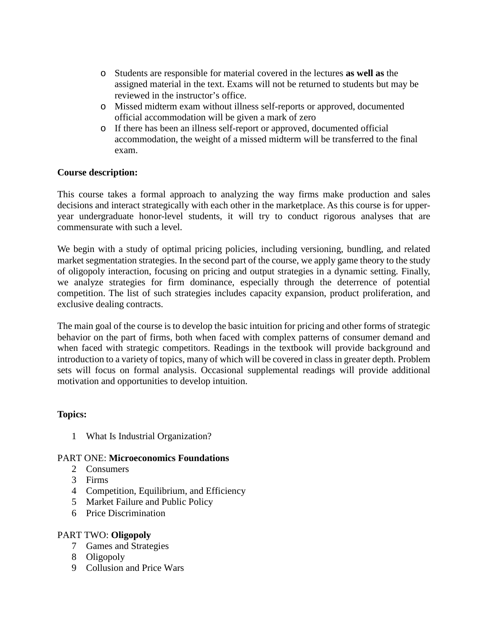- o Students are responsible for material covered in the lectures **as well as** the assigned material in the text. Exams will not be returned to students but may be reviewed in the instructor's office.
- o Missed midterm exam without illness self-reports or approved, documented official accommodation will be given a mark of zero
- o If there has been an illness self-report or approved, documented official accommodation, the weight of a missed midterm will be transferred to the final exam.

# **Course description:**

This course takes a formal approach to analyzing the way firms make production and sales decisions and interact strategically with each other in the marketplace. As this course is for upperyear undergraduate honor-level students, it will try to conduct rigorous analyses that are commensurate with such a level.

We begin with a study of optimal pricing policies, including versioning, bundling, and related market segmentation strategies. In the second part of the course, we apply game theory to the study of oligopoly interaction, focusing on pricing and output strategies in a dynamic setting. Finally, we analyze strategies for firm dominance, especially through the deterrence of potential competition. The list of such strategies includes capacity expansion, product proliferation, and exclusive dealing contracts.

The main goal of the course is to develop the basic intuition for pricing and other forms of strategic behavior on the part of firms, both when faced with complex patterns of consumer demand and when faced with strategic competitors. Readings in the textbook will provide background and introduction to a variety of topics, many of which will be covered in class in greater depth. Problem sets will focus on formal analysis. Occasional supplemental readings will provide additional motivation and opportunities to develop intuition.

# **Topics:**

1 What Is Industrial Organization?

# PART ONE: **Microeconomics Foundations**

- 2 Consumers
- 3 Firms
- 4 Competition, Equilibrium, and Efficiency
- 5 Market Failure and Public Policy
- 6 Price Discrimination

# PART TWO: **Oligopoly**

- 7 Games and Strategies
- 8 Oligopoly
- 9 Collusion and Price Wars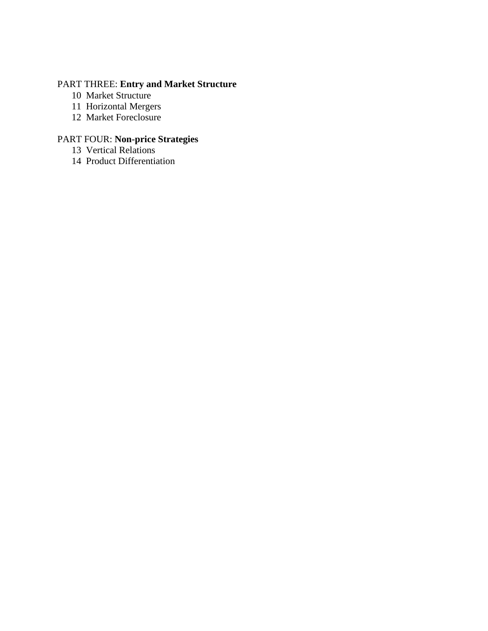# PART THREE: **Entry and Market Structure**

- Market Structure
- Horizontal Mergers
- Market Foreclosure

# PART FOUR: **Non-price Strategies**

- Vertical Relations
- Product Differentiation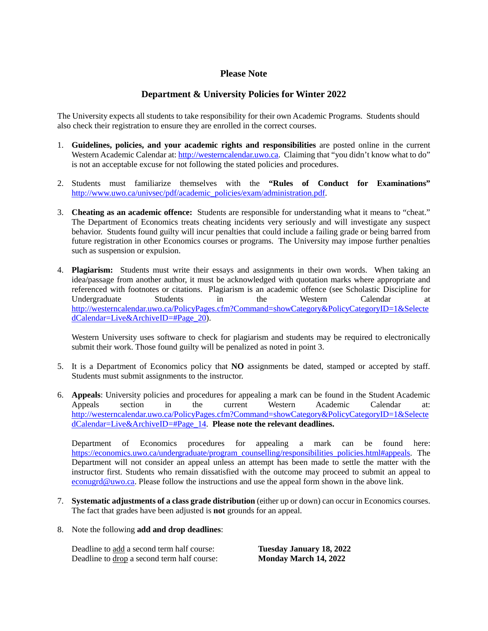# **Please Note**

# **Department & University Policies for Winter 2022**

The University expects all students to take responsibility for their own Academic Programs. Students should also check their registration to ensure they are enrolled in the correct courses.

- 1. **Guidelines, policies, and your academic rights and responsibilities** are posted online in the current Western Academic Calendar at: [http://westerncalendar.uwo.ca.](http://westerncalendar.uwo.ca/) Claiming that "you didn't know what to do" is not an acceptable excuse for not following the stated policies and procedures.
- 2. Students must familiarize themselves with the **"Rules of Conduct for Examinations"** [http://www.uwo.ca/univsec/pdf/academic\\_policies/exam/administration.pdf.](http://www.uwo.ca/univsec/pdf/academic_policies/exam/administration.pdf)
- 3. **Cheating as an academic offence:** Students are responsible for understanding what it means to "cheat." The Department of Economics treats cheating incidents very seriously and will investigate any suspect behavior. Students found guilty will incur penalties that could include a failing grade or being barred from future registration in other Economics courses or programs. The University may impose further penalties such as suspension or expulsion.
- 4. **Plagiarism:** Students must write their essays and assignments in their own words. When taking an idea/passage from another author, it must be acknowledged with quotation marks where appropriate and referenced with footnotes or citations. Plagiarism is an academic offence (see Scholastic Discipline for Undergraduate Students in the Western Calendar at [http://westerncalendar.uwo.ca/PolicyPages.cfm?Command=showCategory&PolicyCategoryID=1&Selecte](http://westerncalendar.uwo.ca/PolicyPages.cfm?Command=showCategory&PolicyCategoryID=1&SelectedCalendar=Live&ArchiveID=#Page_20) [dCalendar=Live&ArchiveID=#Page\\_20\)](http://westerncalendar.uwo.ca/PolicyPages.cfm?Command=showCategory&PolicyCategoryID=1&SelectedCalendar=Live&ArchiveID=#Page_20).

Western University uses software to check for plagiarism and students may be required to electronically submit their work. Those found guilty will be penalized as noted in point 3.

- 5. It is a Department of Economics policy that **NO** assignments be dated, stamped or accepted by staff. Students must submit assignments to the instructor.
- 6. **Appeals**: University policies and procedures for appealing a mark can be found in the Student Academic Appeals section in the current Western Academic Calendar at: [http://westerncalendar.uwo.ca/PolicyPages.cfm?Command=showCategory&PolicyCategoryID=1&Selecte](http://westerncalendar.uwo.ca/PolicyPages.cfm?Command=showCategory&PolicyCategoryID=1&SelectedCalendar=Live&ArchiveID=#Page_14) [dCalendar=Live&ArchiveID=#Page\\_14.](http://westerncalendar.uwo.ca/PolicyPages.cfm?Command=showCategory&PolicyCategoryID=1&SelectedCalendar=Live&ArchiveID=#Page_14) **Please note the relevant deadlines.**

Department of Economics procedures for appealing a mark can be found here: [https://economics.uwo.ca/undergraduate/program\\_counselling/responsibilities\\_policies.html#appeals.](https://economics.uwo.ca/undergraduate/program_counselling/responsibilities_policies.html#appeals) The Department will not consider an appeal unless an attempt has been made to settle the matter with the instructor first. Students who remain dissatisfied with the outcome may proceed to submit an appeal to [econugrd@uwo.ca.](mailto:econugrd@uwo.ca) Please follow the instructions and use the appeal form shown in the above link.

- 7. **Systematic adjustments of a class grade distribution** (either up or down) can occur in Economics courses. The fact that grades have been adjusted is **not** grounds for an appeal.
- 8. Note the following **add and drop deadlines**:

| Deadline to add a second term half course:  | <b>Tuesday January 18, 2022</b> |
|---------------------------------------------|---------------------------------|
| Deadline to drop a second term half course: | Monday March 14, 2022           |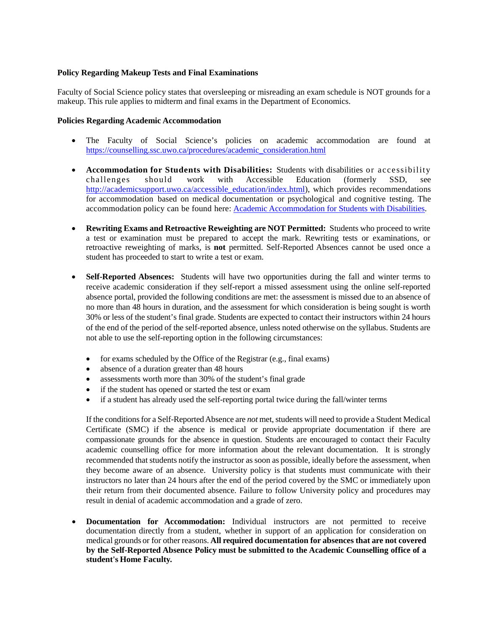#### **Policy Regarding Makeup Tests and Final Examinations**

Faculty of Social Science policy states that oversleeping or misreading an exam schedule is NOT grounds for a makeup. This rule applies to midterm and final exams in the Department of Economics.

#### **Policies Regarding Academic Accommodation**

- The Faculty of Social Science's policies on academic accommodation are found at [https://counselling.ssc.uwo.ca/procedures/academic\\_consideration.html](https://counselling.ssc.uwo.ca/procedures/academic_consideration.html)
- **Accommodation for Students with Disabilities:** Students with disabilities or accessibility challenges should work with Accessible Education (formerly SSD, see challenges should work with Accessible Education (formerly SSD, see [http://academicsupport.uwo.ca/accessible\\_education/index.html\)](http://academicsupport.uwo.ca/accessible_education/index.html), which provides recommendations for accommodation based on medical documentation or psychological and cognitive testing. The accommodation policy can be found here: [Academic Accommodation for Students with Disabilities.](https://www.uwo.ca/univsec/pdf/academic_policies/appeals/Academic%20Accommodation_disabilities.pdf)
- **Rewriting Exams and Retroactive Reweighting are NOT Permitted:** Students who proceed to write a test or examination must be prepared to accept the mark. Rewriting tests or examinations, or retroactive reweighting of marks, is **not** permitted. Self-Reported Absences cannot be used once a student has proceeded to start to write a test or exam.
- **Self-Reported Absences:** Students will have two opportunities during the fall and winter terms to receive academic consideration if they self-report a missed assessment using the online self-reported absence portal, provided the following conditions are met: the assessment is missed due to an absence of no more than 48 hours in duration, and the assessment for which consideration is being sought is worth 30% or less of the student's final grade. Students are expected to contact their instructors within 24 hours of the end of the period of the self-reported absence, unless noted otherwise on the syllabus. Students are not able to use the self-reporting option in the following circumstances:
	- for exams scheduled by the Office of the Registrar (e.g., final exams)
	- absence of a duration greater than 48 hours
	- assessments worth more than 30% of the student's final grade
	- if the student has opened or started the test or exam
	- if a student has already used the self-reporting portal twice during the fall/winter terms

If the conditions for a Self-Reported Absence are *not* met, students will need to provide a Student Medical Certificate (SMC) if the absence is medical or provide appropriate documentation if there are compassionate grounds for the absence in question. Students are encouraged to contact their Faculty academic counselling office for more information about the relevant documentation. It is strongly recommended that students notify the instructor as soon as possible, ideally before the assessment, when they become aware of an absence. University policy is that students must communicate with their instructors no later than 24 hours after the end of the period covered by the SMC or immediately upon their return from their documented absence. Failure to follow University policy and procedures may result in denial of academic accommodation and a grade of zero.

• **Documentation for Accommodation:** Individual instructors are not permitted to receive documentation directly from a student, whether in support of an application for consideration on medical grounds or for other reasons. **All required documentation for absences that are not covered by the Self-Reported Absence Policy must be submitted to the Academic Counselling office of a student's Home Faculty.**